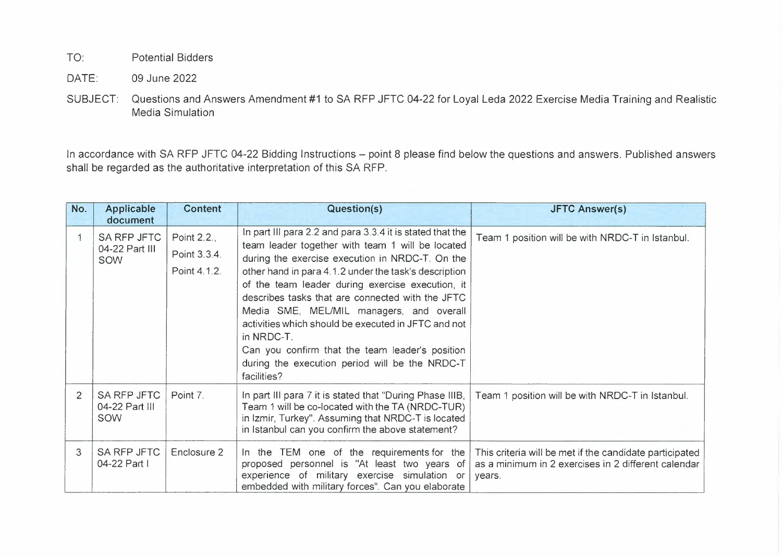TO: Potential Bidders

DATE: 09 June 2022

SUBJECT: Questions and Answers Amendment #1 to SA RFP JFTC 04-22 for Loyal Leda 2022 Exercise Media Training and Realistic Media Simulation

In accordance with SA RFP JFTC 04-22 Bidding Instructions - point 8 please find below the questions and answers. Published answers shall be regarded as the authoritative interpretation of this SA RFP.

| No.            | <b>Applicable</b><br>document                      | Content                                     | Question(s)                                                                                                                                                                                                                                                                                                                                                                                                                                                                                                                                                            | <b>JFTC Answer(s)</b>                                                                                                    |
|----------------|----------------------------------------------------|---------------------------------------------|------------------------------------------------------------------------------------------------------------------------------------------------------------------------------------------------------------------------------------------------------------------------------------------------------------------------------------------------------------------------------------------------------------------------------------------------------------------------------------------------------------------------------------------------------------------------|--------------------------------------------------------------------------------------------------------------------------|
|                | <b>SA RFP JFTC</b><br>04-22 Part III<br><b>SOW</b> | Point 2.2.,<br>Point 3.3.4.<br>Point 4.1.2. | In part III para 2.2 and para 3.3.4 it is stated that the<br>team leader together with team 1 will be located<br>during the exercise execution in NRDC-T. On the<br>other hand in para 4.1.2 under the task's description<br>of the team leader during exercise execution, it<br>describes tasks that are connected with the JFTC<br>Media SME, MEL/MIL managers, and overall<br>activities which should be executed in JFTC and not<br>in NRDC-T.<br>Can you confirm that the team leader's position<br>during the execution period will be the NRDC-T<br>facilities? | Team 1 position will be with NRDC-T in Istanbul.                                                                         |
| $\overline{2}$ | SA RFP JFTC<br>04-22 Part III<br><b>SOW</b>        | Point 7.                                    | In part III para 7 it is stated that "During Phase IIIB,<br>Team 1 will be co-located with the TA (NRDC-TUR)<br>in Izmir, Turkey". Assuming that NRDC-T is located<br>in Istanbul can you confirm the above statement?                                                                                                                                                                                                                                                                                                                                                 | Team 1 position will be with NRDC-T in Istanbul.                                                                         |
| 3              | <b>SA RFP JFTC</b><br>04-22 Part I                 | Enclosure 2                                 | In the TEM one of the requirements for the<br>proposed personnel is "At least two years of<br>experience of military exercise simulation or<br>embedded with military forces". Can you elaborate                                                                                                                                                                                                                                                                                                                                                                       | This criteria will be met if the candidate participated<br>as a minimum in 2 exercises in 2 different calendar<br>years. |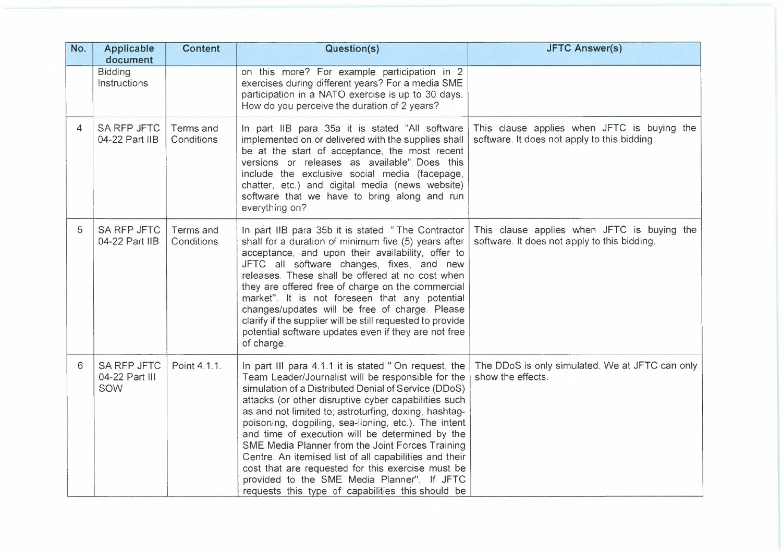| No. | Applicable<br>document                      | <b>Content</b>          | Question(s)                                                                                                                                                                                                                                                                                                                                                                                                                                                                                                                                                                                                                                                           | <b>JFTC Answer(s)</b>                                                                       |
|-----|---------------------------------------------|-------------------------|-----------------------------------------------------------------------------------------------------------------------------------------------------------------------------------------------------------------------------------------------------------------------------------------------------------------------------------------------------------------------------------------------------------------------------------------------------------------------------------------------------------------------------------------------------------------------------------------------------------------------------------------------------------------------|---------------------------------------------------------------------------------------------|
|     | <b>Bidding</b><br>Instructions              |                         | on this more? For example participation in 2<br>exercises during different years? For a media SME<br>participation in a NATO exercise is up to 30 days.<br>How do you perceive the duration of 2 years?                                                                                                                                                                                                                                                                                                                                                                                                                                                               |                                                                                             |
| 4   | <b>SA RFP JFTC</b><br>04-22 Part IIB        | Terms and<br>Conditions | In part IIB para 35a it is stated "All software<br>implemented on or delivered with the supplies shall<br>be at the start of acceptance, the most recent<br>versions or releases as available". Does this<br>include the exclusive social media (facepage,<br>chatter, etc.) and digital media (news website)<br>software that we have to bring along and run<br>everything on?                                                                                                                                                                                                                                                                                       | This clause applies when JFTC is buying the<br>software. It does not apply to this bidding. |
| 5   | <b>SA RFP JFTC</b><br>04-22 Part IIB        | Terms and<br>Conditions | In part IIB para 35b it is stated "The Contractor<br>shall for a duration of minimum five (5) years after<br>acceptance, and upon their availability, offer to<br>JFTC all software changes, fixes, and new<br>releases. These shall be offered at no cost when<br>they are offered free of charge on the commercial<br>market". It is not foreseen that any potential<br>changes/updates will be free of charge. Please<br>clarify if the supplier will be still requested to provide<br>potential software updates even if they are not free<br>of charge.                                                                                                          | This clause applies when JFTC is buying the<br>software. It does not apply to this bidding. |
| 6   | <b>SA RFP JFTC</b><br>04-22 Part III<br>SOW | Point 4.1.1.            | In part III para 4.1.1 it is stated "On request, the<br>Team Leader/Journalist will be responsible for the<br>simulation of a Distributed Denial of Service (DDoS)<br>attacks (or other disruptive cyber capabilities such<br>as and not limited to; astroturfing, doxing, hashtag-<br>poisoning, dogpiling, sea-lioning, etc.). The intent<br>and time of execution will be determined by the<br>SME Media Planner from the Joint Forces Training<br>Centre. An itemised list of all capabilities and their<br>cost that are requested for this exercise must be<br>provided to the SME Media Planner". If JFTC<br>requests this type of capabilities this should be | The DDoS is only simulated. We at JFTC can only<br>show the effects.                        |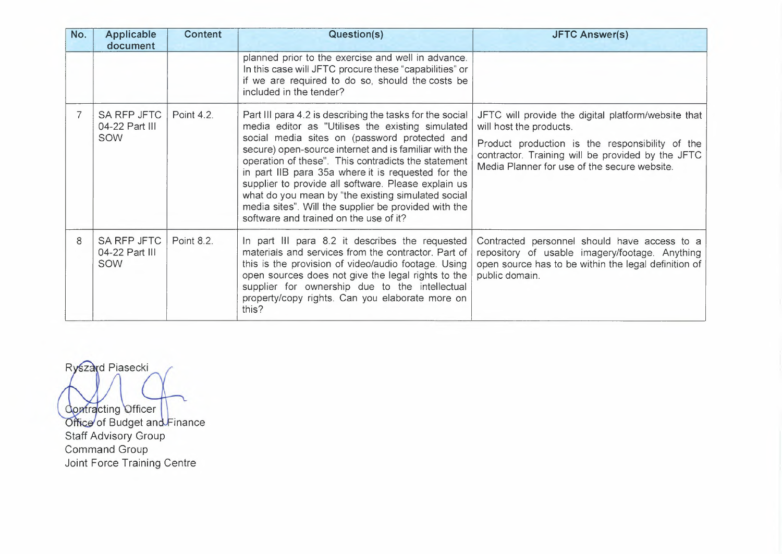| No. | <b>Applicable</b><br>document        | Content    | Question(s)                                                                                                                                                                                                                                                                                                                                                                                                                                                                                                                                        | <b>JFTC Answer(s)</b>                                                                                                                                                                                                                  |
|-----|--------------------------------------|------------|----------------------------------------------------------------------------------------------------------------------------------------------------------------------------------------------------------------------------------------------------------------------------------------------------------------------------------------------------------------------------------------------------------------------------------------------------------------------------------------------------------------------------------------------------|----------------------------------------------------------------------------------------------------------------------------------------------------------------------------------------------------------------------------------------|
|     |                                      |            | planned prior to the exercise and well in advance.<br>In this case will JFTC procure these "capabilities" or<br>if we are required to do so, should the costs be<br>included in the tender?                                                                                                                                                                                                                                                                                                                                                        |                                                                                                                                                                                                                                        |
|     | SA RFP JFTC<br>04-22 Part III<br>SOW | Point 4.2. | Part III para 4.2 is describing the tasks for the social<br>media editor as "Utilises the existing simulated<br>social media sites on (password protected and<br>secure) open-source internet and is familiar with the<br>operation of these". This contradicts the statement<br>in part IIB para 35a where it is requested for the<br>supplier to provide all software. Please explain us<br>what do you mean by "the existing simulated social<br>media sites". Will the supplier be provided with the<br>software and trained on the use of it? | JFTC will provide the digital platform/website that<br>will host the products.<br>Product production is the responsibility of the<br>contractor. Training will be provided by the JFTC<br>Media Planner for use of the secure website. |
| 8   | SA RFP JFTC<br>04-22 Part III<br>SOW | Point 8.2. | In part III para 8.2 it describes the requested<br>materials and services from the contractor. Part of<br>this is the provision of video/audio footage. Using<br>open sources does not give the legal rights to the<br>supplier for ownership due to the intellectual<br>property/copy rights. Can you elaborate more on<br>this?                                                                                                                                                                                                                  | Contracted personnel should have access to a<br>repository of usable imagery/footage. Anything<br>open source has to be within the legal definition of<br>public domain.                                                               |

ontracting Officer of Budget an Staff Advisory Group Command Group Joint Force Training Centre

Ryszard Piasecki